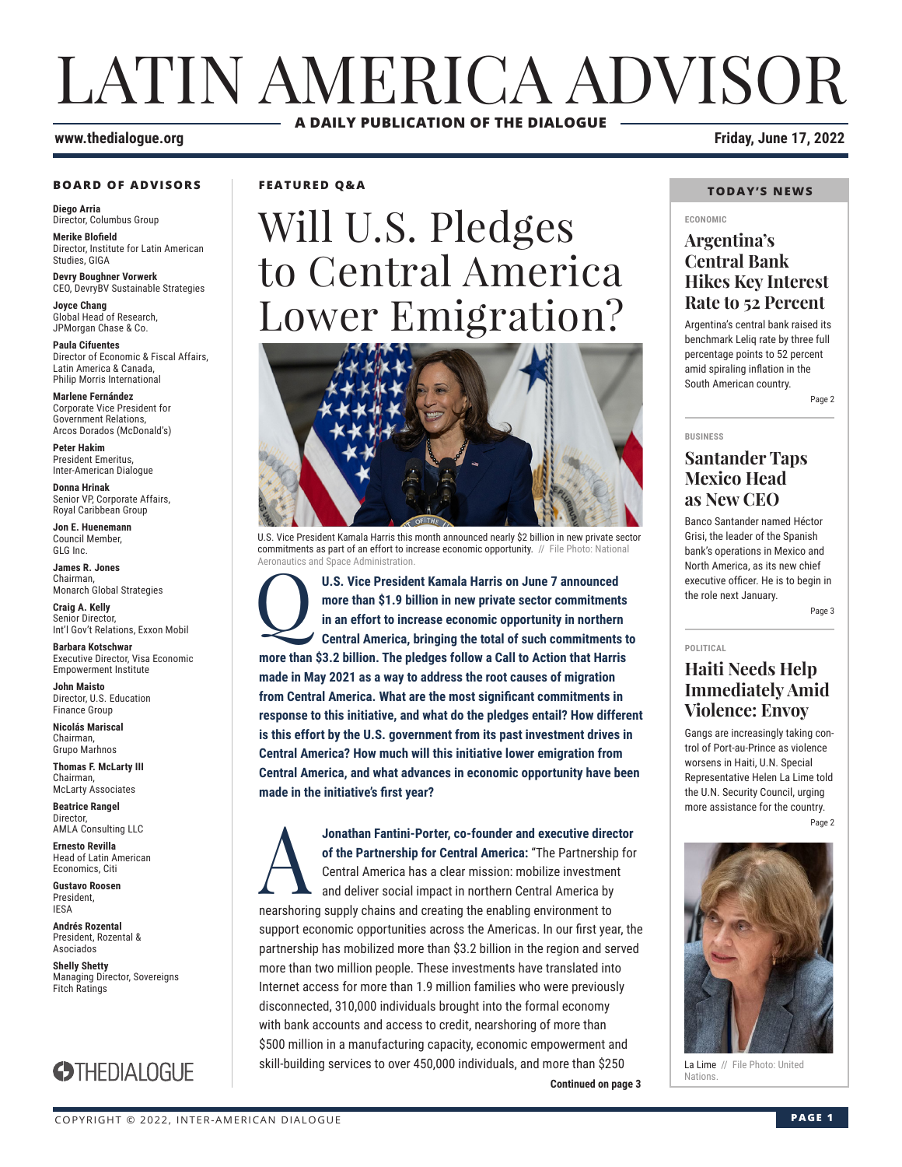# LATIN AMERICA ADVISOR **A DAILY PUBLICATION OF THE DIALOGUE**

### **www.thedialogue.org Friday, June 17, 2022**

#### **BOARD OF ADVISORS**

**Diego Arria** Director, Columbus Group

**Merike Blofield** Director, Institute for Latin American Studies, GIGA

**Devry Boughner Vorwerk** CEO, DevryBV Sustainable Strategies

**Joyce Chang** Global Head of Research, JPMorgan Chase & Co.

**Paula Cifuentes** Director of Economic & Fiscal Affairs, Latin America & Canada, Philip Morris International

**Marlene Fernández** Corporate Vice President for Government Relations, Arcos Dorados (McDonald's)

**Peter Hakim** President Emeritus, Inter-American Dialogue

**Donna Hrinak** Senior VP, Corporate Affairs, Royal Caribbean Group

**Jon E. Huenemann** Council Member, GLG Inc.

**James R. Jones** Chairman, Monarch Global Strategies

**Craig A. Kelly** Senior Director, Int'l Gov't Relations, Exxon Mobil

**Barbara Kotschwar** Executive Director, Visa Economic Empowerment Institute

**John Maisto** Director, U.S. Education Finance Group

**Nicolás Mariscal** Chairman, Grupo Marhnos

**Thomas F. McLarty III** Chairman, McLarty Associates

**Beatrice Rangel**  Director, AMLA Consulting LLC

**Ernesto Revilla**  Head of Latin American Economics, Citi

**Gustavo Roosen** President, IESA

**Andrés Rozental**  President, Rozental & Asociados

**Shelly Shetty** Managing Director, Sovereigns Fitch Ratings



**FEATURED Q&A**

# Will U.S. Pledges to Central America Lower Emigration?



U.S. Vice President Kamala Harris this month announced nearly \$2 billion in new private sector commitments as part of an effort to increase economic opportunity. // File Photo: National Aeronautics and Space Administration.

U.S. Vice President Kamala Harris on June 7 announced more than \$1.9 billion in new private sector commitment in an effort to increase economic opportunity in northern Central America, bringing the total of such commitment **more than \$1.9 billion in new private sector commitments in an effort to increase economic opportunity in northern Central America, bringing the total of such commitments to more than \$3.2 billion. The pledges follow a Call to Action that Harris made in May 2021 as a way to address the root causes of migration from Central America. What are the most significant commitments in response to this initiative, and what do the pledges entail? How different is this effort by the U.S. government from its past investment drives in Central America? How much will this initiative lower emigration from Central America, and what advances in economic opportunity have been made in the initiative's first year?**

**Continued on page 3** Nations **ADORA FANTIFIT STATE:** Co-founder and executive director of the Partnership for Central America: "The Partnership for Central America has a clear mission: mobilize investment and deliver social impact in northern Central **of the Partnership for Central America:** "The Partnership for Central America has a clear mission: mobilize investment and deliver social impact in northern Central America by nearshoring supply chains and creating the enabling environment to support economic opportunities across the Americas. In our first year, the partnership has mobilized more than \$3.2 billion in the region and served more than two million people. These investments have translated into Internet access for more than 1.9 million families who were previously disconnected, 310,000 individuals brought into the formal economy with bank accounts and access to credit, nearshoring of more than \$500 million in a manufacturing capacity, economic empowerment and skill-building services to over 450,000 individuals, and more than \$250

### **TODAY'S NEWS**

#### **ECONOMIC**

### **Argentina's Central Bank Hikes Key Interest Rate to 52 Percent**

Argentina's central bank raised its benchmark Leliq rate by three full percentage points to 52 percent amid spiraling inflation in the South American country. Page 2

### **BUSINESS**

### **Santander Taps Mexico Head as New CEO**

Banco Santander named Héctor Grisi, the leader of the Spanish bank's operations in Mexico and North America, as its new chief executive officer. He is to begin in the role next January.

Page 3

**POLITICAL**

### **Haiti Needs Help Immediately Amid Violence: Envoy**

Gangs are increasingly taking control of Port-au-Prince as violence worsens in Haiti, U.N. Special Representative Helen La Lime told the U.N. Security Council, urging more assistance for the country. Page 2



La Lime // File Photo: United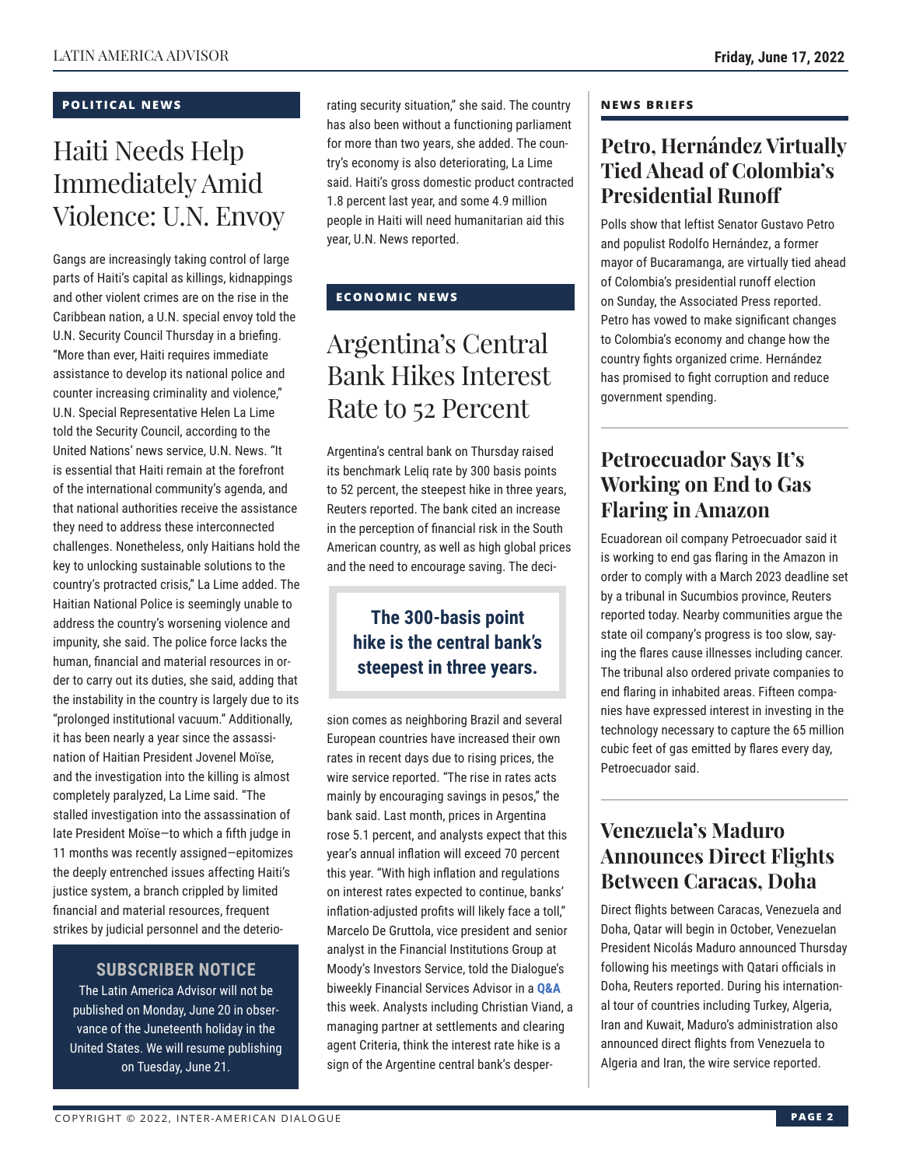### **POLITICAL NEWS**

## Haiti Needs Help Immediately Amid Violence: U.N. Envoy

Gangs are increasingly taking control of large parts of Haiti's capital as killings, kidnappings and other violent crimes are on the rise in the Caribbean nation, a U.N. special envoy told the U.N. Security Council Thursday in a briefing. "More than ever, Haiti requires immediate assistance to develop its national police and counter increasing criminality and violence," U.N. Special Representative Helen La Lime told the Security Council, according to the United Nations' news service, U.N. News. "It is essential that Haiti remain at the forefront of the international community's agenda, and that national authorities receive the assistance they need to address these interconnected challenges. Nonetheless, only Haitians hold the key to unlocking sustainable solutions to the country's protracted crisis," La Lime added. The Haitian National Police is seemingly unable to address the country's worsening violence and impunity, she said. The police force lacks the human, financial and material resources in order to carry out its duties, she said, adding that the instability in the country is largely due to its "prolonged institutional vacuum." Additionally, it has been nearly a year since the assassination of Haitian President Jovenel Moïse, and the investigation into the killing is almost completely paralyzed, La Lime said. "The stalled investigation into the assassination of late President Moïse—to which a fifth judge in 11 months was recently assigned—epitomizes the deeply entrenched issues affecting Haiti's justice system, a branch crippled by limited financial and material resources, frequent strikes by judicial personnel and the deterio-

### **SUBSCRIBER NOTICE**

The Latin America Advisor will not be published on Monday, June 20 in observance of the Juneteenth holiday in the United States. We will resume publishing on Tuesday, June 21.

rating security situation," she said. The country has also been without a functioning parliament for more than two years, she added. The country's economy is also deteriorating, La Lime said. Haiti's gross domestic product contracted 1.8 percent last year, and some 4.9 million people in Haiti will need humanitarian aid this year, U.N. News reported.

### **ECONOMIC NEWS**

## Argentina's Central Bank Hikes Interest Rate to 52 Percent

Argentina's central bank on Thursday raised its benchmark Leliq rate by 300 basis points to 52 percent, the steepest hike in three years, Reuters reported. The bank cited an increase in the perception of financial risk in the South American country, as well as high global prices and the need to encourage saving. The deci-

### **The 300-basis point hike is the central bank's steepest in three years.**

sion comes as neighboring Brazil and several European countries have increased their own rates in recent days due to rising prices, the wire service reported. "The rise in rates acts mainly by encouraging savings in pesos," the bank said. Last month, prices in Argentina rose 5.1 percent, and analysts expect that this year's annual inflation will exceed 70 percent this year. "With high inflation and regulations on interest rates expected to continue, banks' inflation-adjusted profits will likely face a toll," Marcelo De Gruttola, vice president and senior analyst in the Financial Institutions Group at Moody's Investors Service, told the Dialogue's biweekly Financial Services Advisor in a **[Q&A](https://www.thedialogue.org/wp-content/uploads/2022/06/FSA220615.pdf)** this week. Analysts including Christian Viand, a managing partner at settlements and clearing agent Criteria, think the interest rate hike is a sign of the Argentine central bank's desper-

### **NEWS BRIEFS**

### **Petro, Hernández Virtually Tied Ahead of Colombia's Presidential Runoff**

Polls show that leftist Senator Gustavo Petro and populist Rodolfo Hernández, a former mayor of Bucaramanga, are virtually tied ahead of Colombia's presidential runoff election on Sunday, the Associated Press reported. Petro has vowed to make significant changes to Colombia's economy and change how the country fights organized crime. Hernández has promised to fight corruption and reduce government spending.

### **Petroecuador Says It's Working on End to Gas Flaring in Amazon**

Ecuadorean oil company Petroecuador said it is working to end gas flaring in the Amazon in order to comply with a March 2023 deadline set by a tribunal in Sucumbios province, Reuters reported today. Nearby communities argue the state oil company's progress is too slow, saying the flares cause illnesses including cancer. The tribunal also ordered private companies to end flaring in inhabited areas. Fifteen companies have expressed interest in investing in the technology necessary to capture the 65 million cubic feet of gas emitted by flares every day, Petroecuador said.

### **Venezuela's Maduro Announces Direct Flights Between Caracas, Doha**

Direct flights between Caracas, Venezuela and Doha, Qatar will begin in October, Venezuelan President Nicolás Maduro announced Thursday following his meetings with Qatari officials in Doha, Reuters reported. During his international tour of countries including Turkey, Algeria, Iran and Kuwait, Maduro's administration also announced direct flights from Venezuela to Algeria and Iran, the wire service reported.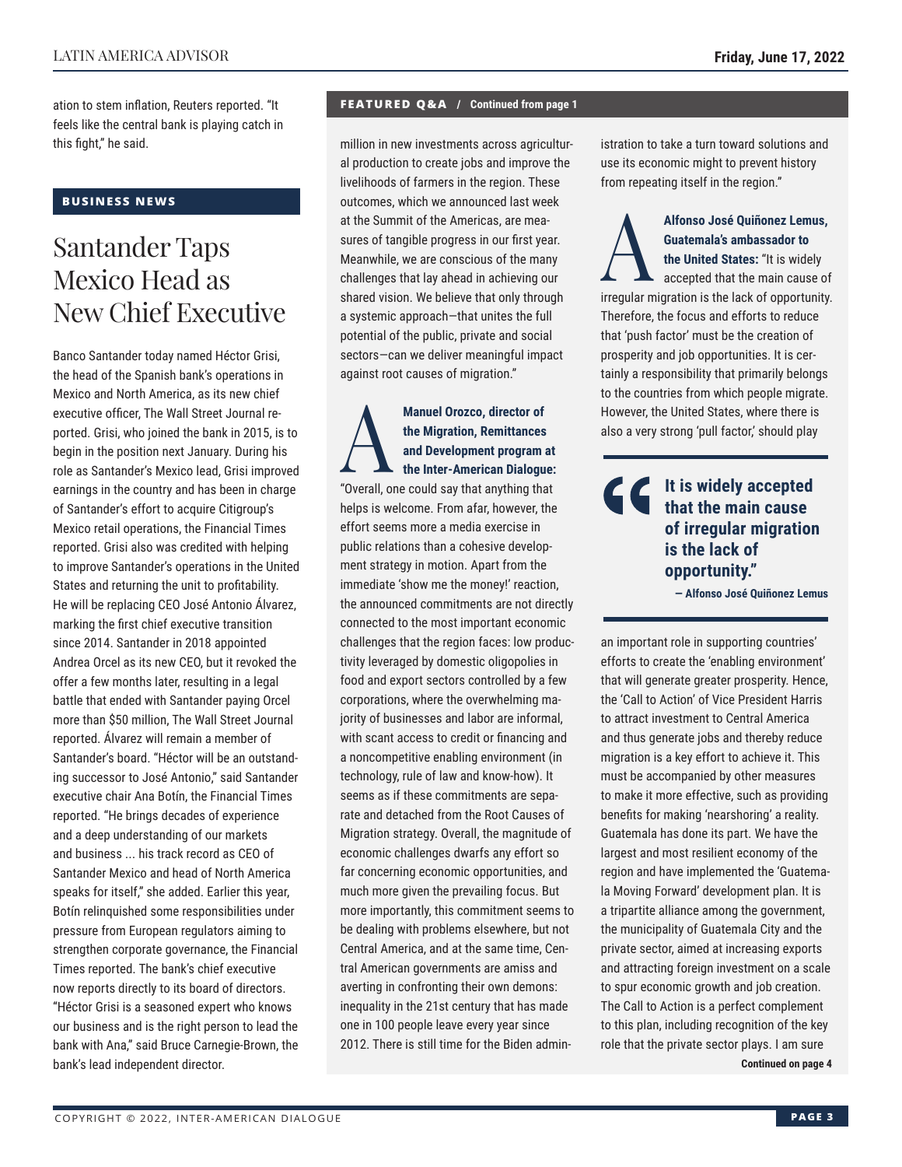ation to stem inflation, Reuters reported. "It feels like the central bank is playing catch in this fight," he said.

### **BUSINESS NEWS**

### Santander Taps Mexico Head as New Chief Executive

Banco Santander today named Héctor Grisi, the head of the Spanish bank's operations in Mexico and North America, as its new chief executive officer, The Wall Street Journal reported. Grisi, who joined the bank in 2015, is to begin in the position next January. During his role as Santander's Mexico lead, Grisi improved earnings in the country and has been in charge of Santander's effort to acquire Citigroup's Mexico retail operations, the Financial Times reported. Grisi also was credited with helping to improve Santander's operations in the United States and returning the unit to profitability. He will be replacing CEO José Antonio Álvarez, marking the first chief executive transition since 2014. Santander in 2018 appointed Andrea Orcel as its new CEO, but it revoked the offer a few months later, resulting in a legal battle that ended with Santander paying Orcel more than \$50 million, The Wall Street Journal reported. Álvarez will remain a member of Santander's board. "Héctor will be an outstanding successor to José Antonio," said Santander executive chair Ana Botín, the Financial Times reported. "He brings decades of experience and a deep understanding of our markets and business ... his track record as CEO of Santander Mexico and head of North America speaks for itself," she added. Earlier this year, Botín relinquished some responsibilities under pressure from European regulators aiming to strengthen corporate governance, the Financial Times reported. The bank's chief executive now reports directly to its board of directors. "Héctor Grisi is a seasoned expert who knows our business and is the right person to lead the bank with Ana," said Bruce Carnegie-Brown, the bank's lead independent director.

### **FEATURED Q&A / Continued from page 1**

million in new investments across agricultural production to create jobs and improve the livelihoods of farmers in the region. These outcomes, which we announced last week at the Summit of the Americas, are measures of tangible progress in our first year. Meanwhile, we are conscious of the many challenges that lay ahead in achieving our shared vision. We believe that only through a systemic approach—that unites the full potential of the public, private and social sectors—can we deliver meaningful impact against root causes of migration."

Manuel Orozco, director of<br>the Migration, Remittances<br>and Development program<br>"Overall one could cay that opything the **the Migration, Remittances and Development program at the Inter-American Dialogue:** "Overall, one could say that anything that helps is welcome. From afar, however, the effort seems more a media exercise in public relations than a cohesive development strategy in motion. Apart from the immediate 'show me the money!' reaction, the announced commitments are not directly connected to the most important economic challenges that the region faces: low productivity leveraged by domestic oligopolies in food and export sectors controlled by a few corporations, where the overwhelming majority of businesses and labor are informal, with scant access to credit or financing and a noncompetitive enabling environment (in technology, rule of law and know-how). It seems as if these commitments are separate and detached from the Root Causes of Migration strategy. Overall, the magnitude of economic challenges dwarfs any effort so far concerning economic opportunities, and much more given the prevailing focus. But more importantly, this commitment seems to be dealing with problems elsewhere, but not Central America, and at the same time, Central American governments are amiss and averting in confronting their own demons: inequality in the 21st century that has made one in 100 people leave every year since 2012. There is still time for the Biden administration to take a turn toward solutions and use its economic might to prevent history from repeating itself in the region."

Alfonso José Quiñonez Lemus,<br> **Cuatemala's ambassador to**<br>
the United States: "It is widely<br>
accepted that the main cause of **Guatemala's ambassador to the United States:** "It is widely accepted that the main cause of irregular migration is the lack of opportunity. Therefore, the focus and efforts to reduce that 'push factor' must be the creation of prosperity and job opportunities. It is certainly a responsibility that primarily belongs to the countries from which people migrate. However, the United States, where there is also a very strong 'pull factor,' should play

### **It is widely accepted that the main cause of irregular migration is the lack of opportunity."**

**— Alfonso José Quiñonez Lemus**

an important role in supporting countries' efforts to create the 'enabling environment' that will generate greater prosperity. Hence, the 'Call to Action' of Vice President Harris to attract investment to Central America and thus generate jobs and thereby reduce migration is a key effort to achieve it. This must be accompanied by other measures to make it more effective, such as providing benefits for making 'nearshoring' a reality. Guatemala has done its part. We have the largest and most resilient economy of the region and have implemented the 'Guatemala Moving Forward' development plan. It is a tripartite alliance among the government, the municipality of Guatemala City and the private sector, aimed at increasing exports and attracting foreign investment on a scale to spur economic growth and job creation. The Call to Action is a perfect complement to this plan, including recognition of the key role that the private sector plays. I am sure **Continued on page 4**